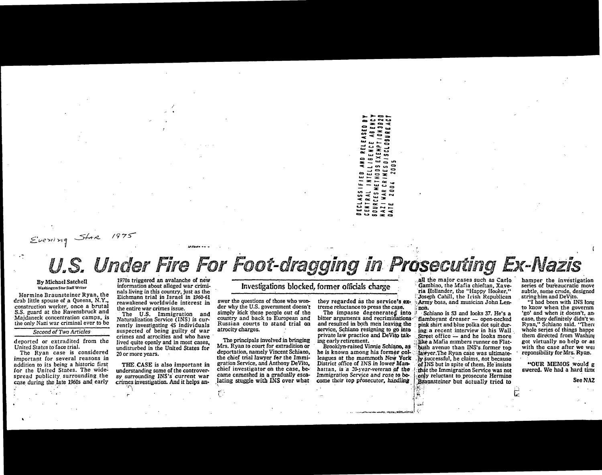day.  $\overline{481}$  $10<sub>N</sub>$ CL09UR tas. ENC. 116E1<br>SEXE1<br>S D 1 S D CRINES  $\blacksquare$ NTEL<br>THO<sub>I</sub>  $\frac{1}{2}$  $\ddot{=}$  $\overline{0}$ **WAR** RAL **OURCES**  $\overline{\phantom{0}}$ 42

## Evering

# Under Fire For Foot-dragging in Prosecuting Ex-Nazis

#### By Michael Satchell Washington Star Staff Writer

Hermine Braunsteiner Ryan, the drab little spouse of a Queens, N.Y., construction worker, once a brutal S.S. guard at the Ravensbruck and Majdaneck concentration camps, is the only Nazi war criminal ever to be

#### Second of Two Articles

deported or extradited from the United States to face trial.

The Ryan case is considered important for several reasons in addition to its being a historic first for the United States. The widespread publicity surrounding the case during the late 1960s and early

1970s triggered an avalanche of new information about alleged war criminals living in this country, just as the Eichmann trial in Israel in 1960-61 reawakened worldwide interest in the entire war crimes issue.

The U.S. Immigration and Naturalization Service (INS) is currently investigating 45 individuals suspected of being guilty of war crimes and atrocities and who have lived quite openly and in most cases, undisturbed in the United States for 20 or more years.

THE CASE is also important in understanding some of the controversy surrounding INS's current war crimes investigation. And it helps an-

### Investigations blocked, former officials charge

swer the questions of those who wonder why the U.S. government doesn't simply kick these people out of the country and back to European and Russian courts to stand trial on atrocity charges.

The principals involved in bringing Mrs. Ryan to court for extradition or deportation, namely Vincent Schiano, the chief trial lawver for the Immigration Service, and Anthony DeVito, chief investigator on the case, became enmeshed in a gradually escalating stuggle with INS over what

Immigration Service and rose to become their top prosecutor, handling

they regarded as the service's ex-

bitter arguments and recriminations

and resulted in both men leaving the

service, Schiano resigning to go into

private law practice and DeVito tak-

he is known among his former col-

leagues at the mammoth New York

District office of INS in lower Man-

hattan, is a 20-year-veteran of the

Brooklyn-raised Vinnie Schiano, as

ing early retirement.

The impasse degenerated into

treme reluctance to press the case.

all the major cases such as Carlo Gambino, the Mafia chieftan, Xaveria Hollander, the "Happy Hooker," Joseph Cahill, the Irish Republican Army boss, and musician John Len-

non. Schiano is 53 and looks 37. He's a flamboyant dresser - open-necked pink shirt and blue polka dot suit during a recent interview in his Wall Street office — and he looks more like a Mafia numbers runner on Flatbush avenue than INS's former top lawyer. The Ryan case was ultimately successful, he claims, not because of INS but in spite of them. He insists that the Immigration Service was not only reluctant to prosecute Hermine Braunsteiner but actually tried to

hamper the investigation series of bureaucratic move subtle, some crude, designed string him and DeVito.

"I had been with INS long to know when the governm 'go' and when it doesn't, an case, they definitely didn't w. Ryan," Schiano said. "There whole series of things happe them directed from Washing got virtually no help or as with the case after we well reponsibility for Mrs. Ryan.

"OUR MEMOS would g swered. We had a hard time

r.

See NAZ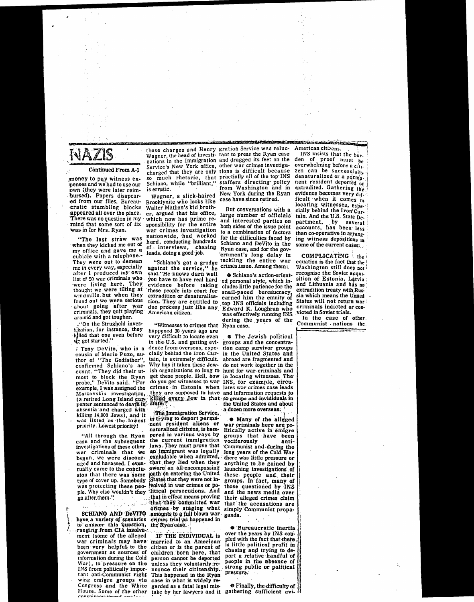#### **Continued From A-1**

money to pay witness expenses and we had to use our own (they were later reim-<br>bursed). Papers disapeared from our files. Bureaucratic stumbling blocks appeared all over the place. There was no question in my mind that some sort of fix was in for Mrs. Ryan.

"The last straw was when they kicked me out of my office and gave me a cubicle with a telephone.-They were out to demean me in every way, especially after I produced my own list of 50 war criminals who. were living here. They thought we were tilting at windmills but when they found out we were serious about going after war<br>criminals, they quit playing around and got tougher.

."On the Strughold investigation, for instance, they killed that one even before

Tony DeVito, who is a cousin of Mario Puzo, author of "The Godfather", confirmed Schiano's account. "They did their utmost to block the Ryan<br>probe," DeVito said. "For example, I was assigned the Maikovskis investigation. (a retired Long Island care absentia and charged with killing 14,000 Jews), and it<br>was listed as the lowest priority. Lowest priority!

"All through the Ryan case and the subsequent investigations of these other war criminals that we began, we were discouraged and harassed. I eventually came to the conclusion that there was some type of cover up. Somebody was protecting these people. Why else wouldn't they go after them."

SCHIANO AND DeVITO have a variety of scenarios<br>to answer this question, ranging from CIA involvement (some of the alleged war criminals may have been very helpful to the government as sources of information during the Cold War), to pressure on the<br>INS from politically important anti-Communist right wing emigre groups via Congress and the White

is erratic.

Wagner, a slick-haired Brooklynite who looks like Walter Mathau's kid brother, argued that his office, which now has prime responsibility for the entire war crimes investigation nationwide, had worked hard, conducting hundreds chasing of - interviews, leads, doing a good job.

"Schiano's got a grudge<br>against the service," he said."He knows darn well you have to have real hard evidence before taking these people into court for<br>extradition or denaturalization. They are entitled to due process just like any American citizen.

"Witnesses to crimes that happened 30 years ago are very difficult to locate even

in the U.S. and getting evidence from overseas, especially behind the Iron Curtain, is extremely difficult. Why has it taken these Jewish organizations so long to get these people. Hell, how do you get witnesses to war crimes in Estonia when lates war crimes case leads they are supposed to have and information requests to

The Immigration Service, in trying to deport permanent resident aliens or naturalized citizens, is hampered in various ways by the current immigration laws. They must prove that an immigrant was legally excludable when admitted. that they lied when they swore an all-encompassing oath on entering the United States that they were not involved in war crimes or political persecutions. And that in effect means proving that they committed war crimes by staging what amounts to a full blown war crimes trial as happened in

IF THE INDIVIDUAL is married to an American citizen or is the parent of children born here, that person cannot be deported unless they voluntarily renounce their citizenship. This happened in the Ryan case in what is widely regarded as a fatal legal mis-

the Ryan case.

these charges and Henry gration Service was reluc-Wagner, the head of investi- tant to press the Ryan case gations in the Immigration and dragged its feet on the Service's New York office, other war crimes investigacharged that they are only tions is difficult because so much rhetoric, that practially all of the top INS<br>Schiano, while "brilliant," staffers directing policy from Washington and in New York during the Ryan case have since retired.

> But conversations with a large number of officials and interested parties on both sides of the issue point to a combination of factors for the difficulties faced by Schiano and DeVito in the Ryan case, and for the government's long delay in tackling the entire war crimes issue. Among them:

Schiano's action-oriented personal style, which includes little patience for the snail-paced bureaucracy. earned him the emnity of top INS officials including Edward K. Loughran who was effectively running INS during the years of the Ryan case.

 $\bullet$  The Jewish political groups and the concentration camp survivor groups in the United States and abroad are fragmented and do not work together in the hunt for war criminals and in locating witnesses. The INS, for example, circukilled every lew in that 69 groups and invididuals in<br>state: a dozen more overseas.

> **• Many of the alleged** war criminals here are politically active in emigre groups that have been vociferously anti-Communist and during the<br>long years of the Cold War there was little pressure or anything to be gained by launching investigations of these people and their groups. In fact, many of those questioned by INS and the news media over their alleged crimes claim that the accusations are simply Communist propaganda.

**O** Bureaucratic inertia over the years by INS coupled with the fact that there is little political profit in chasing and trying to deport a relative handful of people in the absence of strong public or political pressure.

**\*** Finally, the difficulty of House. Some of the other take by her lawyers and it gathering sufficient evi-

American citizens.

INS insists that the  $b\ddot{u}r$ . den of proof must ोट overwhelming before a city zen can be successfully denaturalized or a perma. nent resident deported or extradited. Gathering the evidence becomes very difficult when it comes to locating witnesses, especially behind the Iron Curtain. And the U.S. State Department, by several<br>accounts, has been less than co-operative in arrang. ing witness depositions in some of the current cases.

COMPLICATING the equation is the fact that the Washington still does not recognise the Soviet acquisition of Estonia, Latvia and Lithuania and has no extradition treaty with Russia which means the United States will not return war criminals indicted or convicted in Soviet trials.

In the case of other Communist nations the